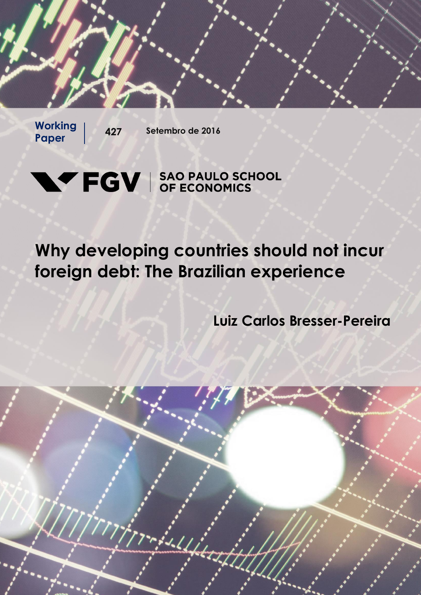**Paper** 

**Working | 427 Setembro de 2016** 

# **NV FGV** SAO PAULO SCHOOL

## **Why developing countries should not incur foreign debt: The Brazilian experience**

**Luiz Carlos Bresser-Pereira**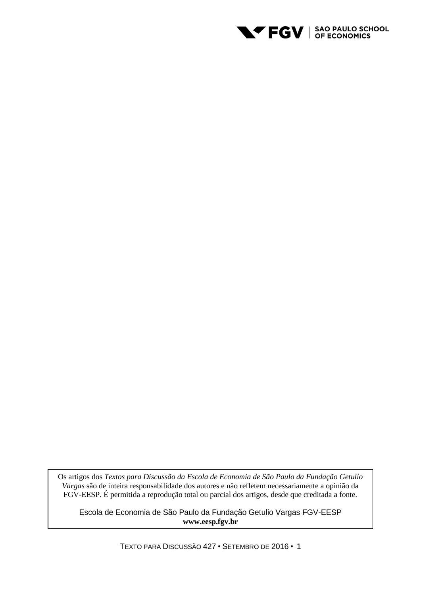

Os artigos dos *Textos para Discussão da Escola de Economia de São Paulo da Fundação Getulio Vargas* são de inteira responsabilidade dos autores e não refletem necessariamente a opinião da FGV-EESP. É permitida a reprodução total ou parcial dos artigos, desde que creditada a fonte.

Escola de Economia de São Paulo da Fundação Getulio Vargas FGV-EESP **www.eesp.fgv.br**

TEXTO PARA DISCUSSÃO 427 • SETEMBRO DE 2016 • 1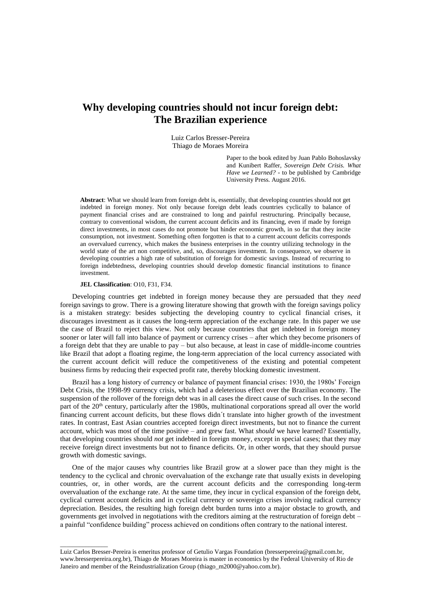### **Why developing countries should not incur foreign debt: The Brazilian experience**

Luiz Carlos Bresser-Pereira Thiago de Moraes Moreira

> Paper to the book edited by Juan Pablo Bohoslavsky and Kunibert Raffer, *Sovereign Debt Crisis. What Have we Learned?* - to be published by Cambridge University Press. August 2016.

**Abstract**: What we should learn from foreign debt is, essentially, that developing countries should not get indebted in foreign money. Not only because foreign debt leads countries cyclically to balance of payment financial crises and are constrained to long and painful restructuring. Principally because, contrary to conventional wisdom, the current account deficits and its financing, even if made by foreign direct investments, in most cases do not promote but hinder economic growth, in so far that they incite consumption, not investment. Something often forgotten is that to a current account deficits corresponds an overvalued currency, which makes the business enterprises in the country utilizing technology in the world state of the art non competitive, and, so, discourages investment. In consequence, we observe in developing countries a high rate of substitution of foreign for domestic savings. Instead of recurring to foreign indebtedness, developing countries should develop domestic financial institutions to finance investment.

#### **JEL Classification**: O10, F31, F34.

 $\overline{\phantom{a}}$  , where the contract of  $\overline{\phantom{a}}$ 

Developing countries get indebted in foreign money because they are persuaded that they *need*  foreign savings to grow. There is a growing literature showing that growth with the foreign savings policy is a mistaken strategy: besides subjecting the developing country to cyclical financial crises, it discourages investment as it causes the long-term appreciation of the exchange rate. In this paper we use the case of Brazil to reject this view. Not only because countries that get indebted in foreign money sooner or later will fall into balance of payment or currency crises – after which they become prisoners of a foreign debt that they are unable to pay – but also because, at least in case of middle-income countries like Brazil that adopt a floating regime, the long-term appreciation of the local currency associated with the current account deficit will reduce the competitiveness of the existing and potential competent business firms by reducing their expected profit rate, thereby blocking domestic investment.

Brazil has a long history of currency or balance of payment financial crises: 1930, the 1980s' Foreign Debt Crisis, the 1998-99 currency crisis, which had a deleterious effect over the Brazilian economy. The suspension of the rollover of the foreign debt was in all cases the direct cause of such crises. In the second part of the 20<sup>th</sup> century, particularly after the 1980s, multinational corporations spread all over the world financing current account deficits, but these flows didn´t translate into higher growth of the investment rates. In contrast, East Asian countries accepted foreign direct investments, but not to finance the current account, which was most of the time positive – and grew fast. What *should* we have learned? Essentially, that developing countries should *not* get indebted in foreign money, except in special cases; that they may receive foreign direct investments but not to finance deficits. Or, in other words, that they should pursue growth with domestic savings.

One of the major causes why countries like Brazil grow at a slower pace than they might is the tendency to the cyclical and chronic overvaluation of the exchange rate that usually exists in developing countries, or, in other words, are the current account deficits and the corresponding long-term overvaluation of the exchange rate. At the same time, they incur in cyclical expansion of the foreign debt, cyclical current account deficits and in cyclical currency or sovereign crises involving radical currency depreciation. Besides, the resulting high foreign debt burden turns into a major obstacle to growth, and governments get involved in negotiations with the creditors aiming at the restructuration of foreign debt – a painful "confidence building" process achieved on conditions often contrary to the national interest.

Luiz Carlos Bresser-Pereira is emeritus professor of Getulio Vargas Foundation (bresserpereira@gmail.com.br, www.bresserpereira.org.br), Thiago de Moraes Moreira is master in economics by the Federal University of Rio de Janeiro and member of the Reindustrialization Group (thiago\_m2000@yahoo.com.br).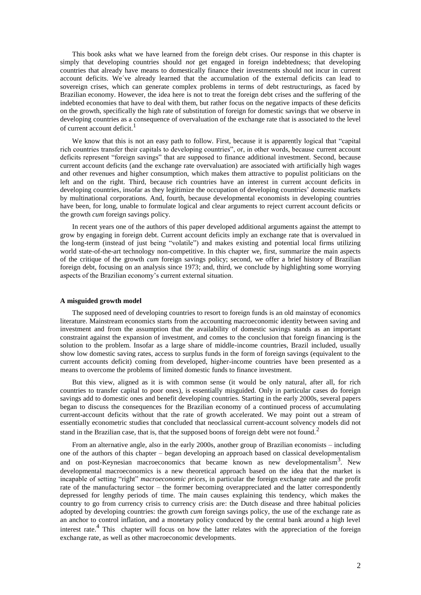This book asks what we have learned from the foreign debt crises. Our response in this chapter is simply that developing countries should *not* get engaged in foreign indebtedness; that developing countries that already have means to domestically finance their investments should not incur in current account deficits. We´ve already learned that the accumulation of the external deficits can lead to sovereign crises, which can generate complex problems in terms of debt restructurings, as faced by Brazilian economy. However, the idea here is not to treat the foreign debt crises and the suffering of the indebted economies that have to deal with them, but rather focus on the negative impacts of these deficits on the growth, specifically the high rate of substitution of foreign for domestic savings that we observe in developing countries as a consequence of overvaluation of the exchange rate that is associated to the level of current account deficit.<sup>1</sup>

We know that this is not an easy path to follow. First, because it is apparently logical that "capital rich countries transfer their capitals to developing countries", or, in other words, because current account deficits represent "foreign savings" that are supposed to finance additional investment. Second, because current account deficits (and the exchange rate overvaluation) are associated with artificially high wages and other revenues and higher consumption, which makes them attractive to populist politicians on the left and on the right. Third, because rich countries have an interest in current account deficits in developing countries, insofar as they legitimize the occupation of developing countries' domestic markets by multinational corporations. And, fourth, because developmental economists in developing countries have been, for long, unable to formulate logical and clear arguments to reject current account deficits or the growth *cum* foreign savings policy.

In recent years one of the authors of this paper developed additional arguments against the attempt to grow by engaging in foreign debt. Current account deficits imply an exchange rate that is overvalued in the long-term (instead of just being "volatile") and makes existing and potential local firms utilizing world state-of-the-art technology non-competitive. In this chapter we, first, summarize the main aspects of the critique of the growth *cum* foreign savings policy; second, we offer a brief history of Brazilian foreign debt, focusing on an analysis since 1973; and, third, we conclude by highlighting some worrying aspects of the Brazilian economy's current external situation.

#### **A misguided growth model**

The supposed need of developing countries to resort to foreign funds is an old mainstay of economics literature. Mainstream economics starts from the accounting macroeconomic identity between saving and investment and from the assumption that the availability of domestic savings stands as an important constraint against the expansion of investment, and comes to the conclusion that foreign financing is the solution to the problem. Insofar as a large share of middle-income countries, Brazil included, usually show low domestic saving rates, access to surplus funds in the form of foreign savings (equivalent to the current accounts deficit) coming from developed, higher-income countries have been presented as a means to overcome the problems of limited domestic funds to finance investment.

But this view, aligned as it is with common sense (it would be only natural, after all, for rich countries to transfer capital to poor ones), is essentially misguided. Only in particular cases do foreign savings add to domestic ones and benefit developing countries. Starting in the early 2000s, several papers began to discuss the consequences for the Brazilian economy of a continued process of accumulating current-account deficits without that the rate of growth accelerated. We may point out a stream of essentially econometric studies that concluded that neoclassical current-account solvency models did not stand in the Brazilian case, that is, that the supposed boons of foreign debt were not found.<sup>2</sup>

From an alternative angle, also in the early 2000s, another group of Brazilian economists – including one of the authors of this chapter – began developing an approach based on classical developmentalism and on post-Keynesian macroeconomics that became known as new developmentalism<sup>3</sup>. New developmental macroeconomics is a new theoretical approach based on the idea that the market is incapable of setting "right" *macroeconomic prices*, in particular the foreign exchange rate and the profit rate of the manufacturing sector – the former becoming overappreciated and the latter correspondently depressed for lengthy periods of time. The main causes explaining this tendency, which makes the country to go from currency crisis to currency crisis are: the Dutch disease and three habitual policies adopted by developing countries: the growth *cum* foreign savings policy, the use of the exchange rate as an anchor to control inflation, and a monetary policy conduced by the central bank around a high level interest rate.<sup>4</sup> This chapter will focus on how the latter relates with the appreciation of the foreign exchange rate, as well as other macroeconomic developments.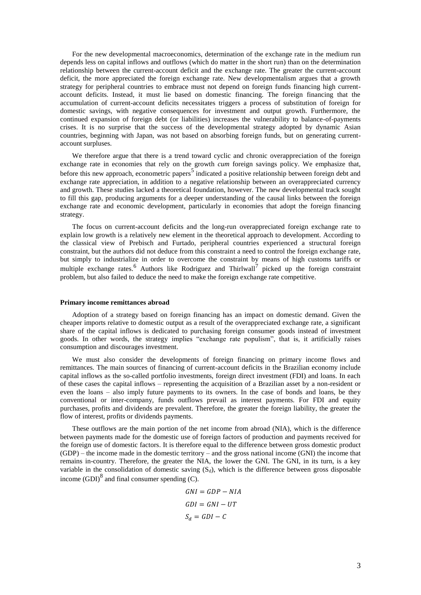For the new developmental macroeconomics, determination of the exchange rate in the medium run depends less on capital inflows and outflows (which do matter in the short run) than on the determination relationship between the current-account deficit and the exchange rate. The greater the current-account deficit, the more appreciated the foreign exchange rate. New developmentalism argues that a growth strategy for peripheral countries to embrace must not depend on foreign funds financing high currentaccount deficits. Instead, it must lie based on domestic financing. The foreign financing that the accumulation of current-account deficits necessitates triggers a process of substitution of foreign for domestic savings, with negative consequences for investment and output growth. Furthermore, the continued expansion of foreign debt (or liabilities) increases the vulnerability to balance-of-payments crises. It is no surprise that the success of the developmental strategy adopted by dynamic Asian countries, beginning with Japan, was not based on absorbing foreign funds, but on generating currentaccount surpluses.

We therefore argue that there is a trend toward cyclic and chronic overappreciation of the foreign exchange rate in economies that rely on the growth *cum* foreign savings policy. We emphasize that, before this new approach, econometric papers<sup>5</sup> indicated a positive relationship between foreign debt and exchange rate appreciation, in addition to a negative relationship between an overappreciated currency and growth. These studies lacked a theoretical foundation, however. The new developmental track sought to fill this gap, producing arguments for a deeper understanding of the causal links between the foreign exchange rate and economic development, particularly in economies that adopt the foreign financing strategy.

The focus on current-account deficits and the long-run overappreciated foreign exchange rate to explain low growth is a relatively new element in the theoretical approach to development. According to the classical view of Prebisch and Furtado, peripheral countries experienced a structural foreign constraint, but the authors did not deduce from this constraint a need to control the foreign exchange rate, but simply to industrialize in order to overcome the constraint by means of high customs tariffs or multiple exchange rates.<sup>6</sup> Authors like Rodriguez and Thirlwall<sup>7</sup> picked up the foreign constraint problem, but also failed to deduce the need to make the foreign exchange rate competitive.

#### **Primary income remittances abroad**

Adoption of a strategy based on foreign financing has an impact on domestic demand. Given the cheaper imports relative to domestic output as a result of the overappreciated exchange rate, a significant share of the capital inflows is dedicated to purchasing foreign consumer goods instead of investment goods. In other words, the strategy implies "exchange rate populism", that is, it artificially raises consumption and discourages investment.

We must also consider the developments of foreign financing on primary income flows and remittances. The main sources of financing of current-account deficits in the Brazilian economy include capital inflows as the so-called portfolio investments, foreign direct investment (FDI) and loans. In each of these cases the capital inflows – representing the acquisition of a Brazilian asset by a non-resident or even the loans – also imply future payments to its owners. In the case of bonds and loans, be they conventional or inter-company, funds outflows prevail as interest payments. For FDI and equity purchases, profits and dividends are prevalent. Therefore, the greater the foreign liability, the greater the flow of interest, profits or dividends payments.

These outflows are the main portion of the net income from abroad (NIA), which is the difference between payments made for the domestic use of foreign factors of production and payments received for the foreign use of domestic factors. It is therefore equal to the difference between gross domestic product (GDP) – the income made in the domestic territory – and the gross national income (GNI) the income that remains in-country. Therefore, the greater the NIA, the lower the GNI. The GNI, in its turn, is a key variable in the consolidation of domestic saving  $(S_d)$ , which is the difference between gross disposable income  $(GDI)^8$  and final consumer spending  $(C)$ .

$$
GNI = GDP - NIA
$$
  

$$
GDI = GNI - UT
$$
  

$$
S_d = GDI - C
$$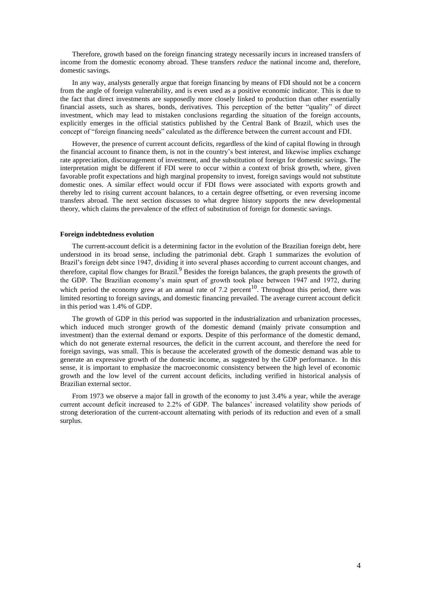Therefore, growth based on the foreign financing strategy necessarily incurs in increased transfers of income from the domestic economy abroad. These transfers *reduce* the national income and, therefore, domestic savings.

In any way, analysts generally argue that foreign financing by means of FDI should not be a concern from the angle of foreign vulnerability, and is even used as a positive economic indicator. This is due to the fact that direct investments are supposedly more closely linked to production than other essentially financial assets, such as shares, bonds, derivatives. This perception of the better "quality" of direct investment, which may lead to mistaken conclusions regarding the situation of the foreign accounts, explicitly emerges in the official statistics published by the Central Bank of Brazil, which uses the concept of "foreign financing needs" calculated as the difference between the current account and FDI.

However, the presence of current account deficits, regardless of the kind of capital flowing in through the financial account to finance them, is not in the country's best interest, and likewise implies exchange rate appreciation, discouragement of investment, and the substitution of foreign for domestic savings. The interpretation might be different if FDI were to occur within a context of brisk growth, where, given favorable profit expectations and high marginal propensity to invest, foreign savings would not substitute domestic ones. A similar effect would occur if FDI flows were associated with exports growth and thereby led to rising current account balances, to a certain degree offsetting, or even reversing income transfers abroad. The next section discusses to what degree history supports the new developmental theory, which claims the prevalence of the effect of substitution of foreign for domestic savings.

#### **Foreign indebtedness evolution**

The current-account deficit is a determining factor in the evolution of the Brazilian foreign debt, here understood in its broad sense, including the patrimonial debt. Graph 1 summarizes the evolution of Brazil's foreign debt since 1947, dividing it into several phases according to current account changes, and therefore, capital flow changes for Brazil.<sup>9</sup> Besides the foreign balances, the graph presents the growth of the GDP. The Brazilian economy's main spurt of growth took place between 1947 and 1972, during which period the economy grew at an annual rate of 7.2 percent<sup>10</sup>. Throughout this period, there was limited resorting to foreign savings, and domestic financing prevailed. The average current account deficit in this period was 1.4% of GDP.

The growth of GDP in this period was supported in the industrialization and urbanization processes, which induced much stronger growth of the domestic demand (mainly private consumption and investment) than the external demand or exports. Despite of this performance of the domestic demand, which do not generate external resources, the deficit in the current account, and therefore the need for foreign savings, was small. This is because the accelerated growth of the domestic demand was able to generate an expressive growth of the domestic income, as suggested by the GDP performance. In this sense, it is important to emphasize the macroeconomic consistency between the high level of economic growth and the low level of the current account deficits, including verified in historical analysis of Brazilian external sector.

From 1973 we observe a major fall in growth of the economy to just 3.4% a year, while the average current account deficit increased to 2.2% of GDP. The balances' increased volatility show periods of strong deterioration of the current-account alternating with periods of its reduction and even of a small surplus.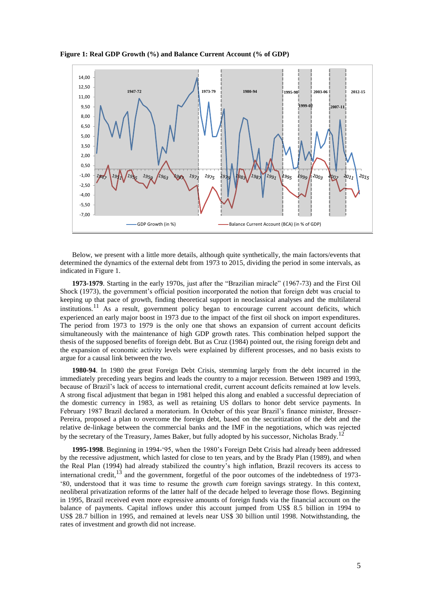**Figure 1: Real GDP Growth (%) and Balance Current Account (% of GDP)**



Below, we present with a little more details, although quite synthetically, the main factors/events that determined the dynamics of the external debt from 1973 to 2015, dividing the period in some intervals, as indicated in Figure 1.

**1973-1979**. Starting in the early 1970s, just after the "Brazilian miracle" (1967-73) and the First Oil Shock (1973), the government's official position incorporated the notion that foreign debt was crucial to keeping up that pace of growth, finding theoretical support in neoclassical analyses and the multilateral institutions.<sup>11</sup> As a result, government policy began to encourage current account deficits, which experienced an early major boost in 1973 due to the impact of the first oil shock on import expenditures. The period from 1973 to 1979 is the only one that shows an expansion of current account deficits simultaneously with the maintenance of high GDP growth rates. This combination helped support the thesis of the supposed benefits of foreign debt. But as Cruz (1984) pointed out, the rising foreign debt and the expansion of economic activity levels were explained by different processes, and no basis exists to argue for a causal link between the two.

**1980-94**. In 1980 the great Foreign Debt Crisis, stemming largely from the debt incurred in the immediately preceding years begins and leads the country to a major recession. Between 1989 and 1993, because of Brazil's lack of access to international credit, current account deficits remained at low levels. A strong fiscal adjustment that began in 1981 helped this along and enabled a successful depreciation of the domestic currency in 1983, as well as retaining US dollars to honor debt service payments. In February 1987 Brazil declared a moratorium. In October of this year Brazil's finance minister, Bresser-Pereira, proposed a plan to overcome the foreign debt, based on the securitization of the debt and the relative de-linkage between the commercial banks and the IMF in the negotiations, which was rejected by the secretary of the Treasury, James Baker, but fully adopted by his successor, Nicholas Brady.<sup>12</sup>

**1995-1998**. Beginning in 1994-'95, when the 1980's Foreign Debt Crisis had already been addressed by the recessive adjustment, which lasted for close to ten years, and by the Brady Plan (1989), and when the Real Plan (1994) had already stabilized the country's high inflation, Brazil recovers its access to international credit,  $13$  and the government, forgetful of the poor outcomes of the indebtedness of 1973-'80, understood that it was time to resume the growth *cum* foreign savings strategy. In this context, neoliberal privatization reforms of the latter half of the decade helped to leverage those flows. Beginning in 1995, Brazil received even more expressive amounts of foreign funds via the financial account on the balance of payments. Capital inflows under this account jumped from US\$ 8.5 billion in 1994 to US\$ 28.7 billion in 1995, and remained at levels near US\$ 30 billion until 1998. Notwithstanding, the rates of investment and growth did not increase.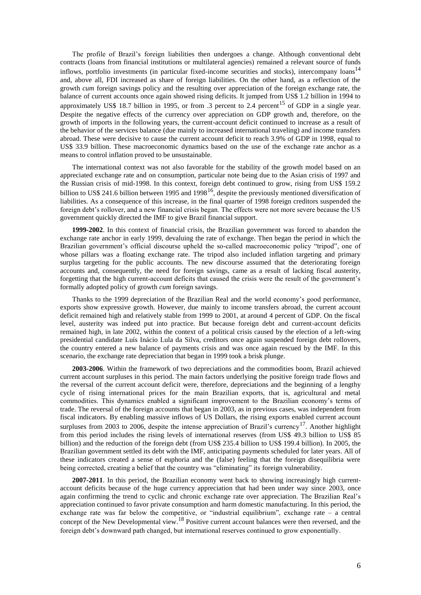The profile of Brazil's foreign liabilities then undergoes a change. Although conventional debt contracts (loans from financial institutions or multilateral agencies) remained a relevant source of funds inflows, portfolio investments (in particular fixed-income securities and stocks), intercompany loans<sup>14</sup> and, above all, FDI increased as share of foreign liabilities. On the other hand, as a reflection of the growth *cum* foreign savings policy and the resulting over appreciation of the foreign exchange rate, the balance of current accounts once again showed rising deficits. It jumped from US\$ 1.2 billion in 1994 to approximately US\$ 18.7 billion in 1995, or from .3 percent to 2.4 percent<sup>15</sup> of GDP in a single year. Despite the negative effects of the currency over appreciation on GDP growth and, therefore, on the growth of imports in the following years, the current-account deficit continued to increase as a result of the behavior of the services balance (due mainly to increased international traveling) and income transfers abroad. These were decisive to cause the current account deficit to reach 3.9% of GDP in 1998, equal to US\$ 33.9 billion. These macroeconomic dynamics based on the use of the exchange rate anchor as a means to control inflation proved to be unsustainable.

The international context was not also favorable for the stability of the growth model based on an appreciated exchange rate and on consumption, particular note being due to the Asian crisis of 1997 and the Russian crisis of mid-1998. In this context, foreign debt continued to grow, rising from US\$ 159.2 billion to US\$ 241.6 billion between 1995 and 1998<sup>16</sup>, despite the previously mentioned diversification of liabilities. As a consequence of this increase, in the final quarter of 1998 foreign creditors suspended the foreign debt's rollover, and a new financial crisis began. The effects were not more severe because the US government quickly directed the IMF to give Brazil financial support.

**1999-2002**. In this context of financial crisis, the Brazilian government was forced to abandon the exchange rate anchor in early 1999, devaluing the rate of exchange. Then began the period in which the Brazilian government's official discourse upheld the so-called macroeconomic policy "tripod", one of whose pillars was a floating exchange rate. The tripod also included inflation targeting and primary surplus targeting for the public accounts. The new discourse assumed that the deteriorating foreign accounts and, consequently, the need for foreign savings, came as a result of lacking fiscal austerity, forgetting that the high current-account deficits that caused the crisis were the result of the government's formally adopted policy of growth *cum* foreign savings.

Thanks to the 1999 depreciation of the Brazilian Real and the world economy's good performance, exports show expressive growth. However, due mainly to income transfers abroad, the current account deficit remained high and relatively stable from 1999 to 2001, at around 4 percent of GDP. On the fiscal level, austerity was indeed put into practice. But because foreign debt and current-account deficits remained high, in late 2002, within the context of a political crisis caused by the election of a left-wing presidential candidate Luís Inácio Lula da Silva, creditors once again suspended foreign debt rollovers, the country entered a new balance of payments crisis and was once again rescued by the IMF. In this scenario, the exchange rate depreciation that began in 1999 took a brisk plunge.

**2003-2006**. Within the framework of two depreciations and the commodities boom, Brazil achieved current account surpluses in this period. The main factors underlying the positive foreign trade flows and the reversal of the current account deficit were, therefore, depreciations and the beginning of a lengthy cycle of rising international prices for the main Brazilian exports, that is, agricultural and metal commodities. This dynamics enabled a significant improvement to the Brazilian economy's terms of trade. The reversal of the foreign accounts that began in 2003, as in previous cases, was independent from fiscal indicators. By enabling massive inflows of US Dollars, the rising exports enabled current account surpluses from 2003 to 2006, despite the intense appreciation of Brazil's currency<sup>17</sup>. Another highlight from this period includes the rising levels of international reserves (from US\$ 49.3 billion to US\$ 85 billion) and the reduction of the foreign debt (from US\$ 235.4 billion to US\$ 199.4 billion). In 2005, the Brazilian government settled its debt with the IMF, anticipating payments scheduled for later years. All of these indicators created a sense of euphoria and the (false) feeling that the foreign disequilibria were being corrected, creating a belief that the country was "eliminating" its foreign vulnerability.

**2007-2011**. In this period, the Brazilian economy went back to showing increasingly high currentaccount deficits because of the huge currency appreciation that had been under way since 2003, once again confirming the trend to cyclic and chronic exchange rate over appreciation. The Brazilian Real's appreciation continued to favor private consumption and harm domestic manufacturing. In this period, the exchange rate was far below the competitive, or "industrial equilibrium", exchange rate – a central concept of the New Developmental view.<sup>18</sup> Positive current account balances were then reversed, and the foreign debt's downward path changed, but international reserves continued to grow exponentially.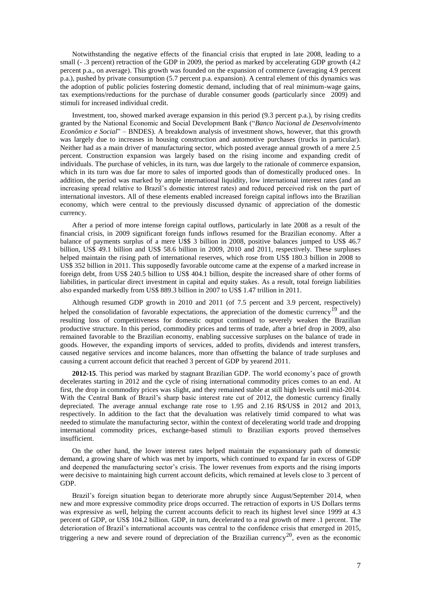Notwithstanding the negative effects of the financial crisis that erupted in late 2008, leading to a small (-.3 percent) retraction of the GDP in 2009, the period as marked by accelerating GDP growth (4.2) percent p.a., on average). This growth was founded on the expansion of commerce (averaging 4.9 percent p.a.), pushed by private consumption (5.7 percent p.a. expansion). A central element of this dynamics was the adoption of public policies fostering domestic demand, including that of real minimum-wage gains, tax exemptions/reductions for the purchase of durable consumer goods (particularly since 2009) and stimuli for increased individual credit.

Investment, too, showed marked average expansion in this period (9.3 percent p.a.), by rising credits granted by the National Economic and Social Development Bank ("*Banco Nacional de Desenvolvimento Econômico e Social*" – BNDES). A breakdown analysis of investment shows, however, that this growth was largely due to increases in housing construction and automotive purchases (trucks in particular). Neither had as a main driver of manufacturing sector, which posted average annual growth of a mere 2.5 percent. Construction expansion was largely based on the rising income and expanding credit of individuals. The purchase of vehicles, in its turn, was due largely to the rationale of commerce expansion, which in its turn was due far more to sales of imported goods than of domestically produced ones. In addition, the period was marked by ample international liquidity, low international interest rates (and an increasing spread relative to Brazil's domestic interest rates) and reduced perceived risk on the part of international investors. All of these elements enabled increased foreign capital inflows into the Brazilian economy, which were central to the previously discussed dynamic of appreciation of the domestic currency.

After a period of more intense foreign capital outflows, particularly in late 2008 as a result of the financial crisis, in 2009 significant foreign funds inflows resumed for the Brazilian economy. After a balance of payments surplus of a mere U\$\$ 3 billion in 2008, positive balances jumped to US\$ 46.7 billion, US\$ 49.1 billion and US\$ 58.6 billion in 2009, 2010 and 2011, respectively. These surpluses helped maintain the rising path of international reserves, which rose from US\$ 180.3 billion in 2008 to US\$ 352 billion in 2011. This supposedly favorable outcome came at the expense of a marked increase in foreign debt, from US\$ 240.5 billion to US\$ 404.1 billion, despite the increased share of other forms of liabilities, in particular direct investment in capital and equity stakes. As a result, total foreign liabilities also expanded markedly from US\$ 889.3 billion in 2007 to US\$ 1.47 trillion in 2011.

Although resumed GDP growth in 2010 and 2011 (of 7.5 percent and 3.9 percent, respectively) helped the consolidation of favorable expectations, the appreciation of the domestic currency<sup>19</sup> and the resulting loss of competitiveness for domestic output continued to severely weaken the Brazilian productive structure. In this period, commodity prices and terms of trade, after a brief drop in 2009, also remained favorable to the Brazilian economy, enabling successive surpluses on the balance of trade in goods. However, the expanding imports of services, added to profits, dividends and interest transfers, caused negative services and income balances, more than offsetting the balance of trade surpluses and causing a current account deficit that reached 3 percent of GDP by yearend 2011.

**2012-15**. This period was marked by stagnant Brazilian GDP. The world economy's pace of growth decelerates starting in 2012 and the cycle of rising international commodity prices comes to an end. At first, the drop in commodity prices was slight, and they remained stable at still high levels until mid-2014. With the Central Bank of Brazil's sharp basic interest rate cut of 2012, the domestic currency finally depreciated. The average annual exchange rate rose to 1.95 and 2.16 R\$/US\$ in 2012 and 2013, respectively. In addition to the fact that the devaluation was relatively timid compared to what was needed to stimulate the manufacturing sector, within the context of decelerating world trade and dropping international commodity prices, exchange-based stimuli to Brazilian exports proved themselves insufficient.

On the other hand, the lower interest rates helped maintain the expansionary path of domestic demand, a growing share of which was met by imports, which continued to expand far in excess of GDP and deepened the manufacturing sector's crisis. The lower revenues from exports and the rising imports were decisive to maintaining high current account deficits, which remained at levels close to 3 percent of GDP.

Brazil's foreign situation began to deteriorate more abruptly since August/September 2014, when new and more expressive commodity price drops occurred. The retraction of exports in US Dollars terms was expressive as well, helping the current accounts deficit to reach its highest level since 1999 at 4.3 percent of GDP, or US\$ 104.2 billion. GDP, in turn, decelerated to a real growth of mere .1 percent. The deterioration of Brazil's international accounts was central to the confidence crisis that emerged in 2015, triggering a new and severe round of depreciation of the Brazilian currency<sup>20</sup>, even as the economic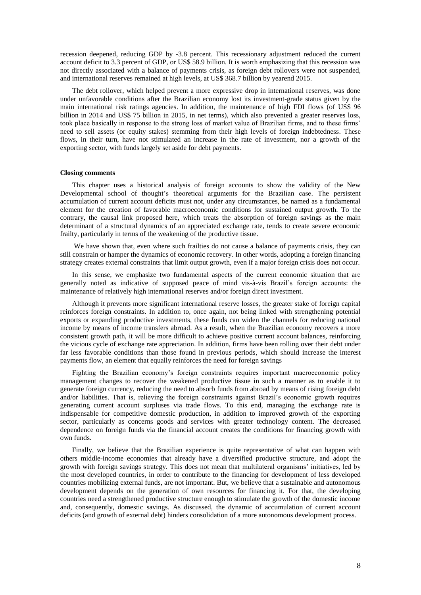recession deepened, reducing GDP by -3.8 percent. This recessionary adjustment reduced the current account deficit to 3.3 percent of GDP, or US\$ 58.9 billion. It is worth emphasizing that this recession was not directly associated with a balance of payments crisis, as foreign debt rollovers were not suspended, and international reserves remained at high levels, at US\$ 368.7 billion by yearend 2015.

The debt rollover, which helped prevent a more expressive drop in international reserves, was done under unfavorable conditions after the Brazilian economy lost its investment-grade status given by the main international risk ratings agencies. In addition, the maintenance of high FDI flows (of US\$ 96 billion in 2014 and US\$ 75 billion in 2015, in net terms), which also prevented a greater reserves loss, took place basically in response to the strong loss of market value of Brazilian firms, and to these firms' need to sell assets (or equity stakes) stemming from their high levels of foreign indebtedness. These flows, in their turn, have not stimulated an increase in the rate of investment, nor a growth of the exporting sector, with funds largely set aside for debt payments.

#### **Closing comments**

This chapter uses a historical analysis of foreign accounts to show the validity of the New Developmental school of thought's theoretical arguments for the Brazilian case. The persistent accumulation of current account deficits must not, under any circumstances, be named as a fundamental element for the creation of favorable macroeconomic conditions for sustained output growth. To the contrary, the causal link proposed here, which treats the absorption of foreign savings as the main determinant of a structural dynamics of an appreciated exchange rate, tends to create severe economic frailty, particularly in terms of the weakening of the productive tissue.

We have shown that, even where such frailties do not cause a balance of payments crisis, they can still constrain or hamper the dynamics of economic recovery. In other words, adopting a foreign financing strategy creates external constraints that limit output growth, even if a major foreign crisis does not occur.

In this sense, we emphasize two fundamental aspects of the current economic situation that are generally noted as indicative of supposed peace of mind vis-à-vis Brazil's foreign accounts: the maintenance of relatively high international reserves and/or foreign direct investment.

Although it prevents more significant international reserve losses, the greater stake of foreign capital reinforces foreign constraints. In addition to, once again, not being linked with strengthening potential exports or expanding productive investments, these funds can widen the channels for reducing national income by means of income transfers abroad. As a result, when the Brazilian economy recovers a more consistent growth path, it will be more difficult to achieve positive current account balances, reinforcing the vicious cycle of exchange rate appreciation. In addition, firms have been rolling over their debt under far less favorable conditions than those found in previous periods, which should increase the interest payments flow, an element that equally reinforces the need for foreign savings

Fighting the Brazilian economy's foreign constraints requires important macroeconomic policy management changes to recover the weakened productive tissue in such a manner as to enable it to generate foreign currency, reducing the need to absorb funds from abroad by means of rising foreign debt and/or liabilities. That is, relieving the foreign constraints against Brazil's economic growth requires generating current account surpluses via trade flows. To this end, managing the exchange rate is indispensable for competitive domestic production, in addition to improved growth of the exporting sector, particularly as concerns goods and services with greater technology content. The decreased dependence on foreign funds via the financial account creates the conditions for financing growth with own funds.

Finally, we believe that the Brazilian experience is quite representative of what can happen with others middle-income economies that already have a diversified productive structure, and adopt the growth with foreign savings strategy. This does not mean that multilateral organisms' initiatives, led by the most developed countries, in order to contribute to the financing for development of less developed countries mobilizing external funds, are not important. But, we believe that a sustainable and autonomous development depends on the generation of own resources for financing it. For that, the developing countries need a strengthened productive structure enough to stimulate the growth of the domestic income and, consequently, domestic savings. As discussed, the dynamic of accumulation of current account deficits (and growth of external debt) hinders consolidation of a more autonomous development process.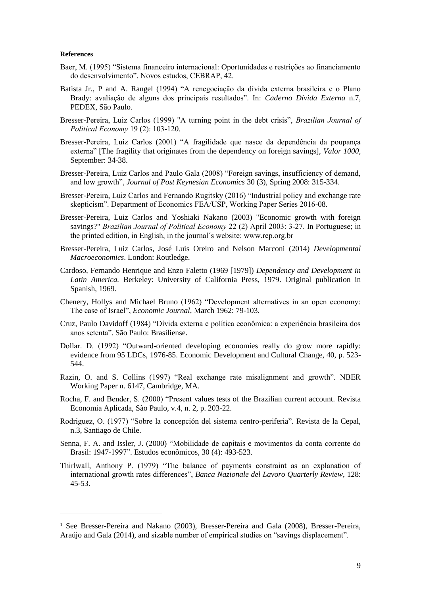#### **References**

-

- Baer, M. (1995) "Sistema financeiro internacional: Oportunidades e restrições ao financiamento do desenvolvimento". Novos estudos, CEBRAP, 42.
- Batista Jr., P and A. Rangel (1994) "A renegociação da dívida externa brasileira e o Plano Brady: avaliação de alguns dos principais resultados". In: *Caderno Dívida Externa* n.7, PEDEX, São Paulo.
- Bresser-Pereira, Luiz Carlos (1999) "A turning point in the debt crisis", *Brazilian Journal of Political Economy* 19 (2): 103-120.
- Bresser-Pereira, Luiz Carlos (2001) "A fragilidade que nasce da dependência da poupança externa" [The fragility that originates from the dependency on foreign savings], *Valor 1000*, September: 34-38.
- Bresser-Pereira, Luiz Carlos and Paulo Gala (2008) "Foreign savings, insufficiency of demand, and low growth", *Journal of Post Keynesian Economics* 30 (3), Spring 2008: 315-334.
- Bresser-Pereira, Luiz Carlos and Fernando Rugitsky (2016) "Industrial policy and exchange rate skepticism". Department of Economics FEA/USP, Working Paper Series 2016-08.
- Bresser-Pereira, Luiz Carlos and Yoshiaki Nakano (2003) "Economic growth with foreign savings?" *Brazilian Journal of Political Economy* 22 (2) April 2003: 3-27. In Portuguese; in the printed edition, in English, in the journal´s website: www.rep.org.br
- Bresser-Pereira, Luiz Carlos, José Luis Oreiro and Nelson Marconi (2014) *Developmental Macroeconomics*. London: Routledge.
- Cardoso, Fernando Henrique and Enzo Faletto (1969 [1979]) *Dependency and Development in Latin America.* Berkeley: University of California Press, 1979. Original publication in Spanish, 1969.
- Chenery, Hollys and Michael Bruno (1962) "Development alternatives in an open economy: The case of Israel", *Economic Journal*, March 1962: 79-103.
- Cruz, Paulo Davidoff (1984) "Dívida externa e política econômica: a experiência brasileira dos anos setenta". São Paulo: Brasiliense.
- Dollar. D. (1992) "Outward-oriented developing economies really do grow more rapidly: evidence from 95 LDCs, 1976-85. Economic Development and Cultural Change, 40, p. 523- 544.
- Razin, O. and S. Collins (1997) "Real exchange rate misalignment and growth". NBER Working Paper n. 6147, Cambridge, MA.
- Rocha, F. and Bender, S. (2000) "Present values tests of the Brazilian current account. Revista Economia Aplicada, São Paulo, v.4, n. 2, p. 203-22.
- Rodriguez, O. (1977) "Sobre la concepción del sistema centro-periferia". Revista de la Cepal, n.3, Santiago de Chile.
- Senna, F. A. and Issler, J. (2000) "Mobilidade de capitais e movimentos da conta corrente do Brasil: 1947-1997". Estudos econômicos, 30 (4): 493-523.
- Thirlwall, Anthony P. (1979) "The balance of payments constraint as an explanation of international growth rates differences", *Banca Nazionale del Lavoro Quarterly Review*, 128: 45-53.

<sup>&</sup>lt;sup>1</sup> See Bresser-Pereira and Nakano (2003), Bresser-Pereira and Gala (2008), Bresser-Pereira, Araújo and Gala (2014), and sizable number of empirical studies on "savings displacement".